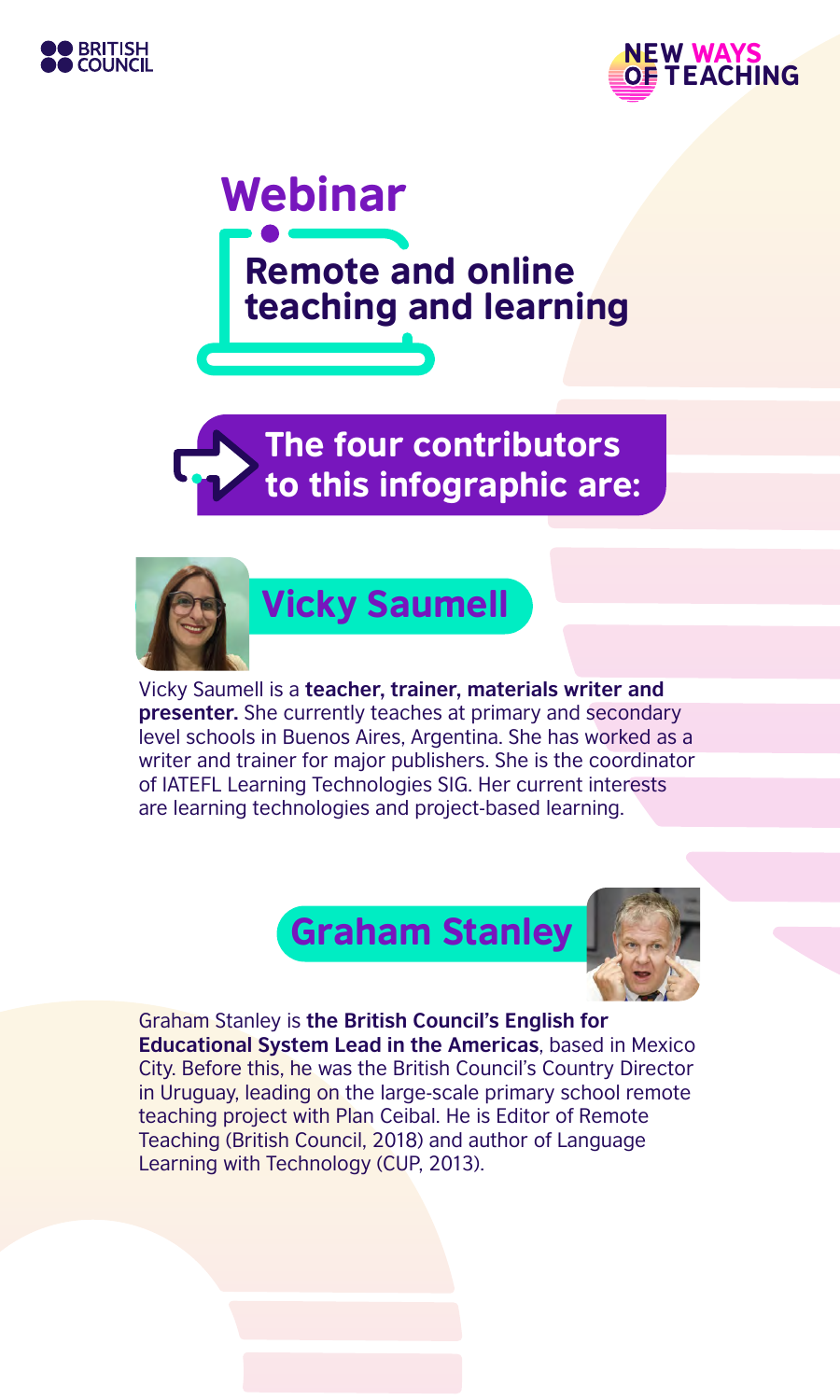





The four contributors to this infographic are:



Vicky Saumell is a **teacher, trainer, materials writer and presenter.** She currently teaches at primary and secondary level schools in Buenos Aires, Argentina. She has worked as a writer and trainer for major publishers. She is the coordinator of IATEFL Learning Technologies SIG. Her current interests are learning technologies and project-based learning.





#### Graham Stanley is **the British Council's English for**

**Educational System Lead in the Americas**, based in Mexico City. Before this, he was the British Council's Country Director in Uruguay, leading on the large-scale primary school remote teaching project with Plan Ceibal. He is Editor of Remote Teaching (British Council, 2018) and author of Language Learning with Technology (CUP, 2013).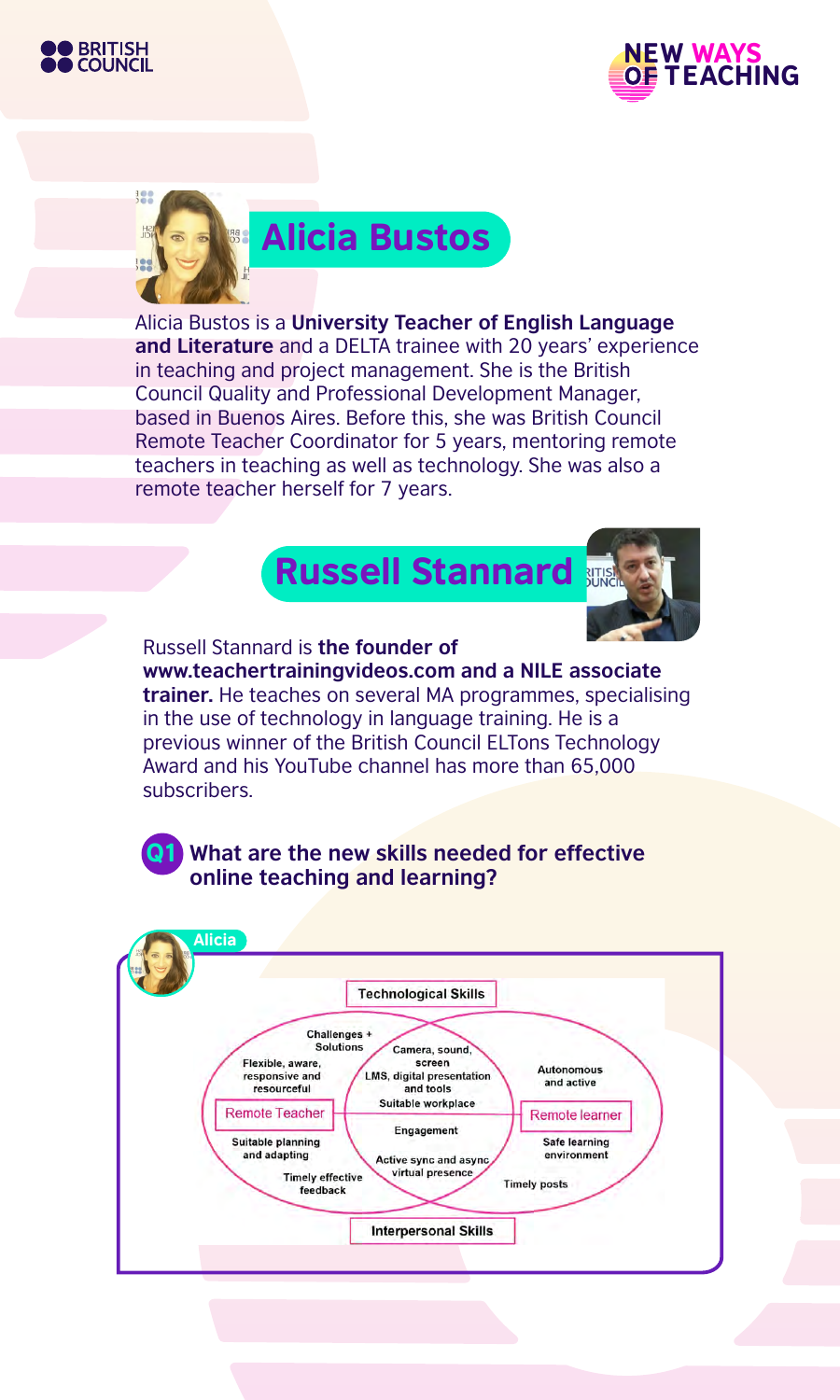





Alicia Bustos is a **University Teacher of English Language and Literature** and a DELTA trainee with 20 years' experience in teaching and project management. She is the British Council Quality and Professional Development Manager, based in Buenos Aires. Before this, she was British Council Remote Teacher Coordinator for 5 years, mentoring remote teachers in teaching as well as technology. She was also a remote teacher herself for 7 years.

# Russell Stannard



Russell Stannard is **the founder of www.teachertrainingvideos.com and a NILE associate trainer.** He teaches on several MA programmes, specialising in the use of technology in language training. He is a previous winner of the British Council ELTons Technology Award and his YouTube channel has more than 65,000 subscribers.

Q1 **What are the new skills needed for effective online teaching and learning?**

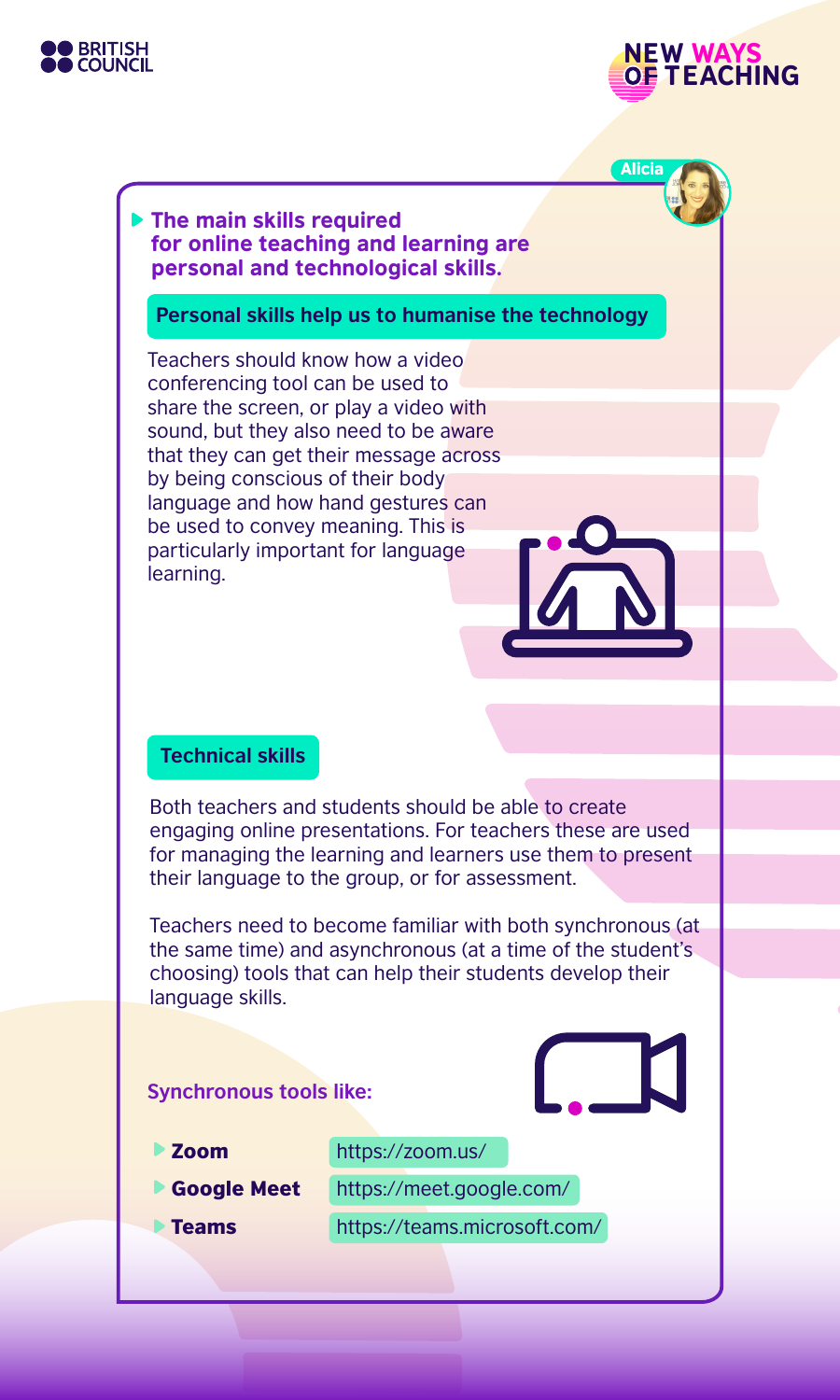



Alicia

# The main skills required for online teaching and learning are personal and technological skills.

**Personal skills help us to humanise the technology**

Teachers should know how a video conferencing tool can be used to share the screen, or play a video with sound, but they also need to be aware that they can get their message across by being conscious of their body language and how hand gestures can be used to convey meaning. This is particularly important for language learning.

# **Technical skills**

Both teachers and students should be able to create engaging online presentations. For teachers these are used for managing the learning and learners use them to present their language to the group, or for assessment.

Teachers need to become familiar with both synchronous (at the same time) and asynchronous (at a time of the student's choosing) tools that can help their students develop their language skills.

## **Synchronous tools like:**

Zoom

https://zoom.us/

- Google Meet
- 
- 
- https://meet.google.com/
- Teams

https://teams.microsoft.com/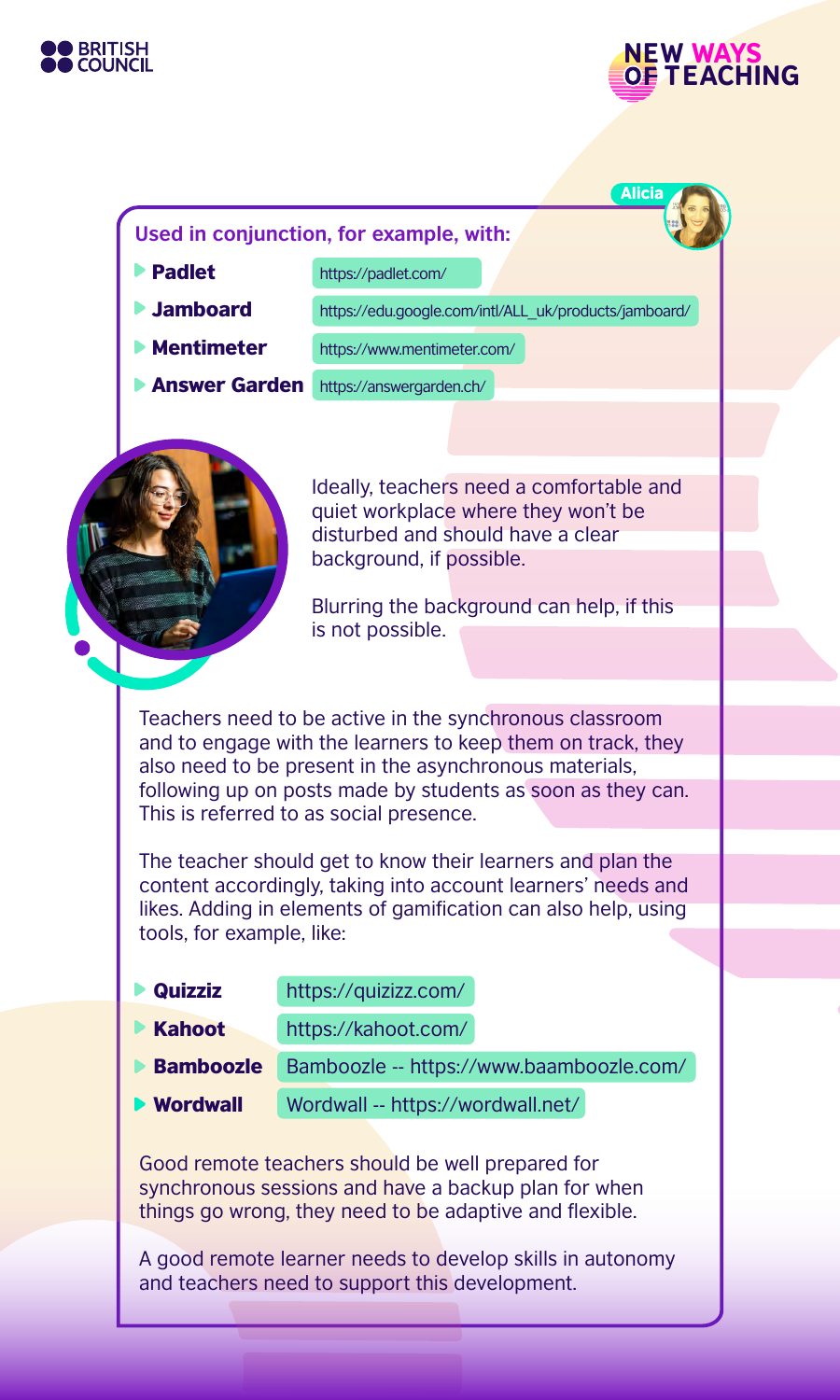



**Alicia** 

#### **Used in conjunction, for example, with:**

Padlet

https://padlet.com/

Jamboard

https://edu.google.com/intl/ALL\_uk/products/jamboard/

Mentimeter

https://www.mentimeter.com/

Answer Garden https://answergarden.ch/



Ideally, teachers need a comfortable and quiet workplace where they won't be disturbed and should have a clear background, if possible.

Blurring the background can help, if this is not possible.

Teachers need to be active in the synchronous classroom and to engage with the learners to keep them on track, they also need to be present in the asynchronous materials, following up on posts made by students as soon as they can. This is referred to as social presence.

The teacher should get to know their learners and plan the content accordingly, taking into account learners' needs and likes. Adding in elements of gamification can also help, using tools, for example, like:

| https://quizizz.com/                     |
|------------------------------------------|
| https://kahoot.com/                      |
| Bamboozle -- https://www.baamboozle.com/ |
| Wordwall -- https://wordwall.net/        |
|                                          |

Good remote teachers should be well prepared for synchronous sessions and have a backup plan for when things go wrong, they need to be adaptive and flexible.

A good remote learner needs to develop skills in autonomy and teachers need to support this development.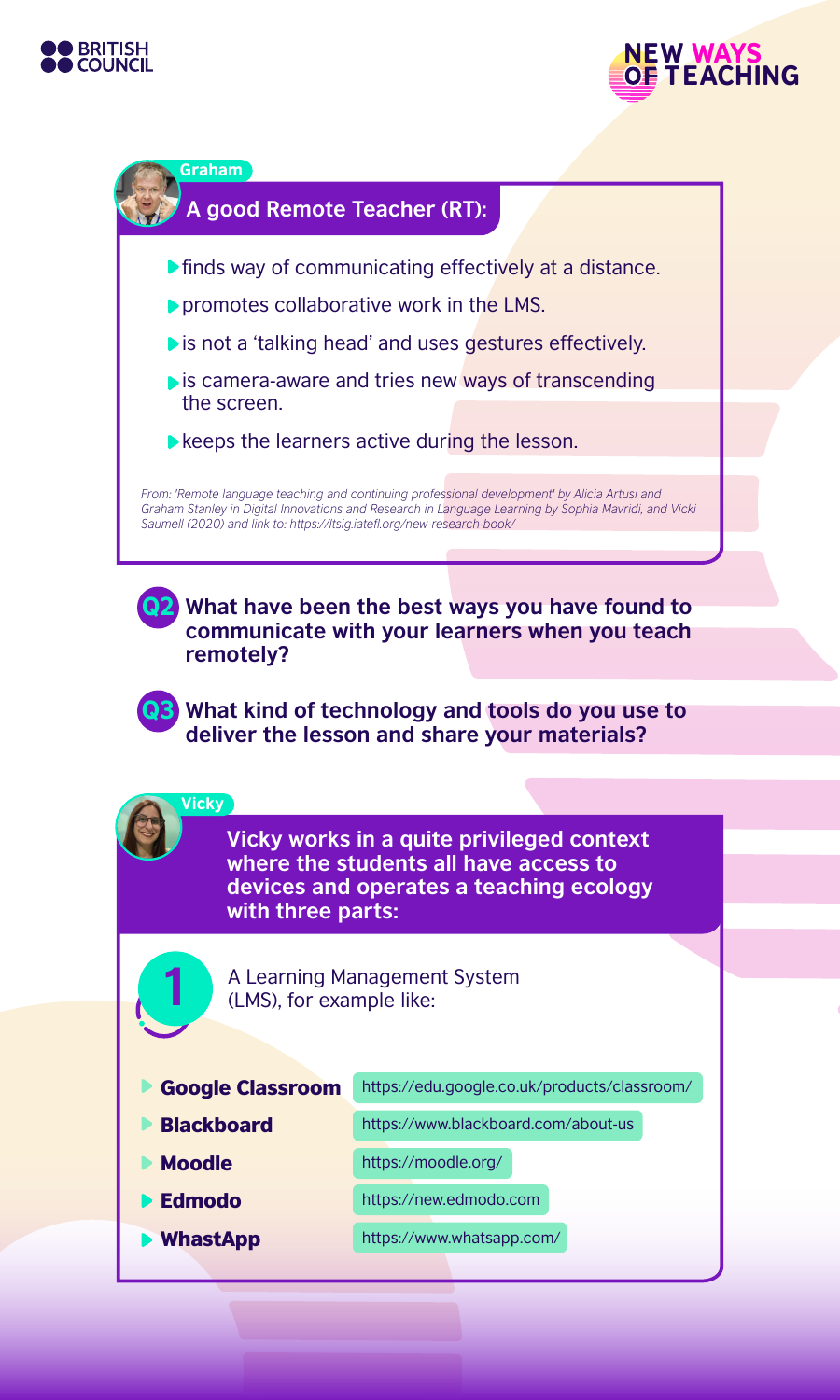



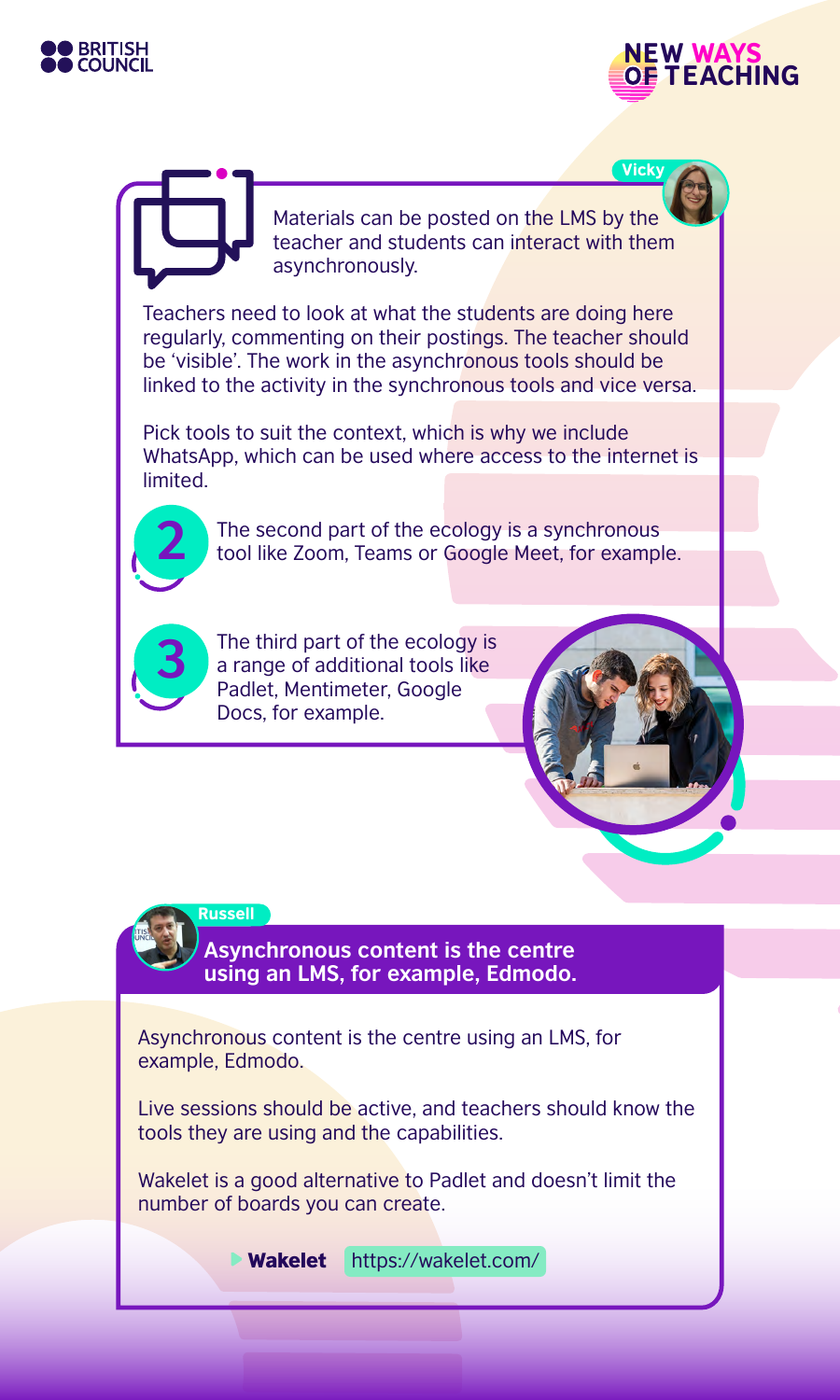



**Vicky** 

Materials can be posted on the LMS by the teacher and students can interact with them asynchronously.

Teachers need to look at what the students are doing here regularly, commenting on their postings. The teacher should be 'visible'. The work in the asynchronous tools should be linked to the activity in the synchronous tools and vice versa.

Pick tools to suit the context, which is why we include WhatsApp, which can be used where access to the internet is limited.



The second part of the ecology is a synchronous tool like Zoom, Teams or Google Meet, for example.



The third part of the ecology is a range of additional tools like Padlet, Mentimeter, Google Docs, for example.



Russell

**Asynchronous content is the centre using an LMS, for example, Edmodo.**

Asynchronous content is the centre using an LMS, for example, Edmodo.

Live sessions should be active, and teachers should know the tools they are using and the capabilities.

Wakelet is a good alternative to Padlet and doesn't limit the number of boards you can create.

**Wakelet** https://wakelet.com/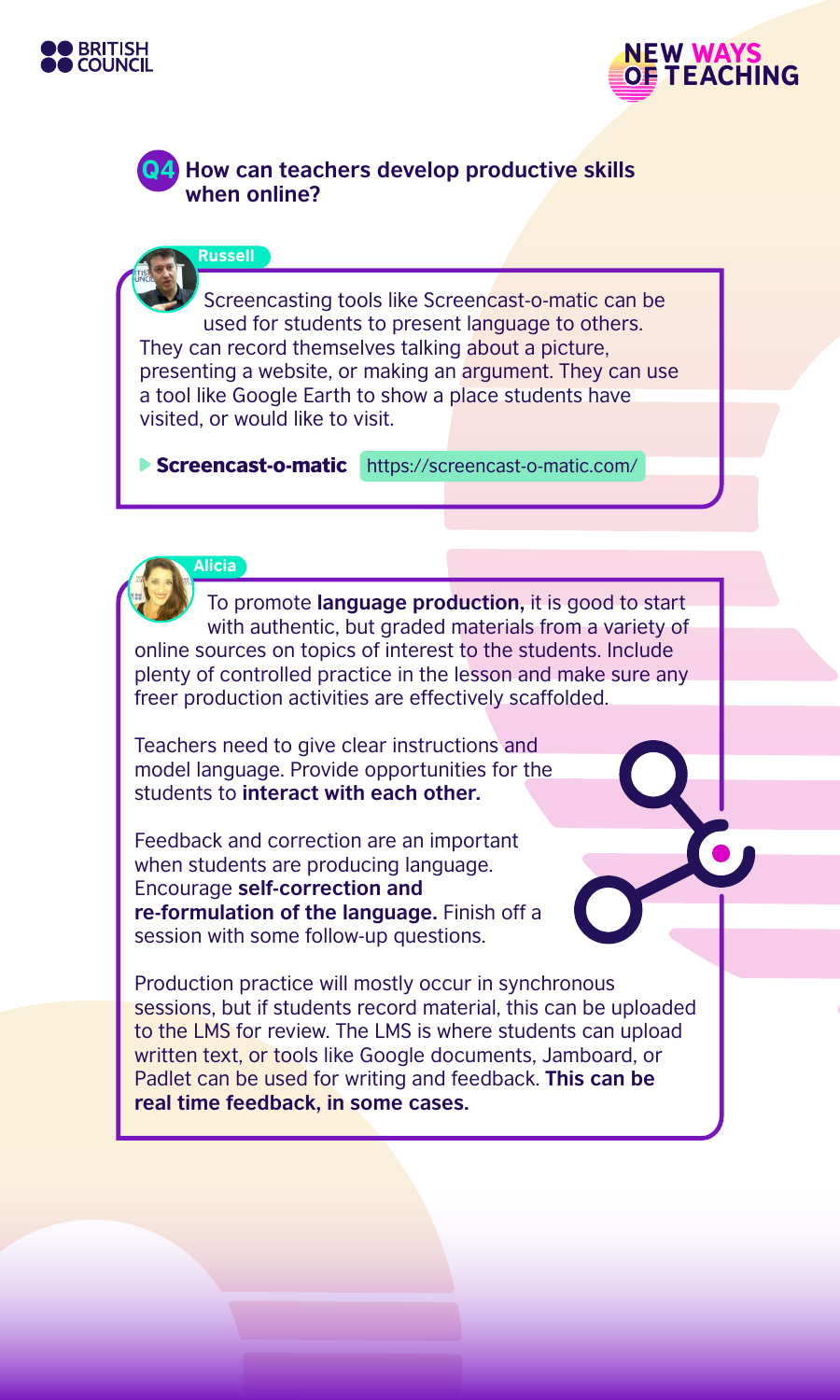



# **How can teachers develop productive skills when online?**

**Russell** 

Screencasting tools like Screencast-o-matic can be used for students to present language to others. They can record themselves talking about a picture, presenting a website, or making an argument. They can use a tool like Google Earth to show a place students have visited, or would like to visit.

Screencast-o-matic https://screencast-o-matic.com/



To promote **language production,** it is good to start with authentic, but graded materials from a variety of online sources on topics of interest to the students. Include plenty of controlled practice in the lesson and make sure any freer production activities are effectively scaffolded.

Teachers need to give clear instructions and model language. Provide opportunities for the students to **interact with each other.**

Feedback and correction are an important when students are producing language. Encourage **self-correction and re-formulation of the language.** Finish off a session with some follow-up questions.

Production practice will mostly occur in synchronous sessions, but if students record material, this can be uploaded to the LMS for review. The LMS is where students can upload written text, or tools like Google documents, Jamboard, or Padlet can be used for writing and feedback. **This can be real time feedback, in some cases.**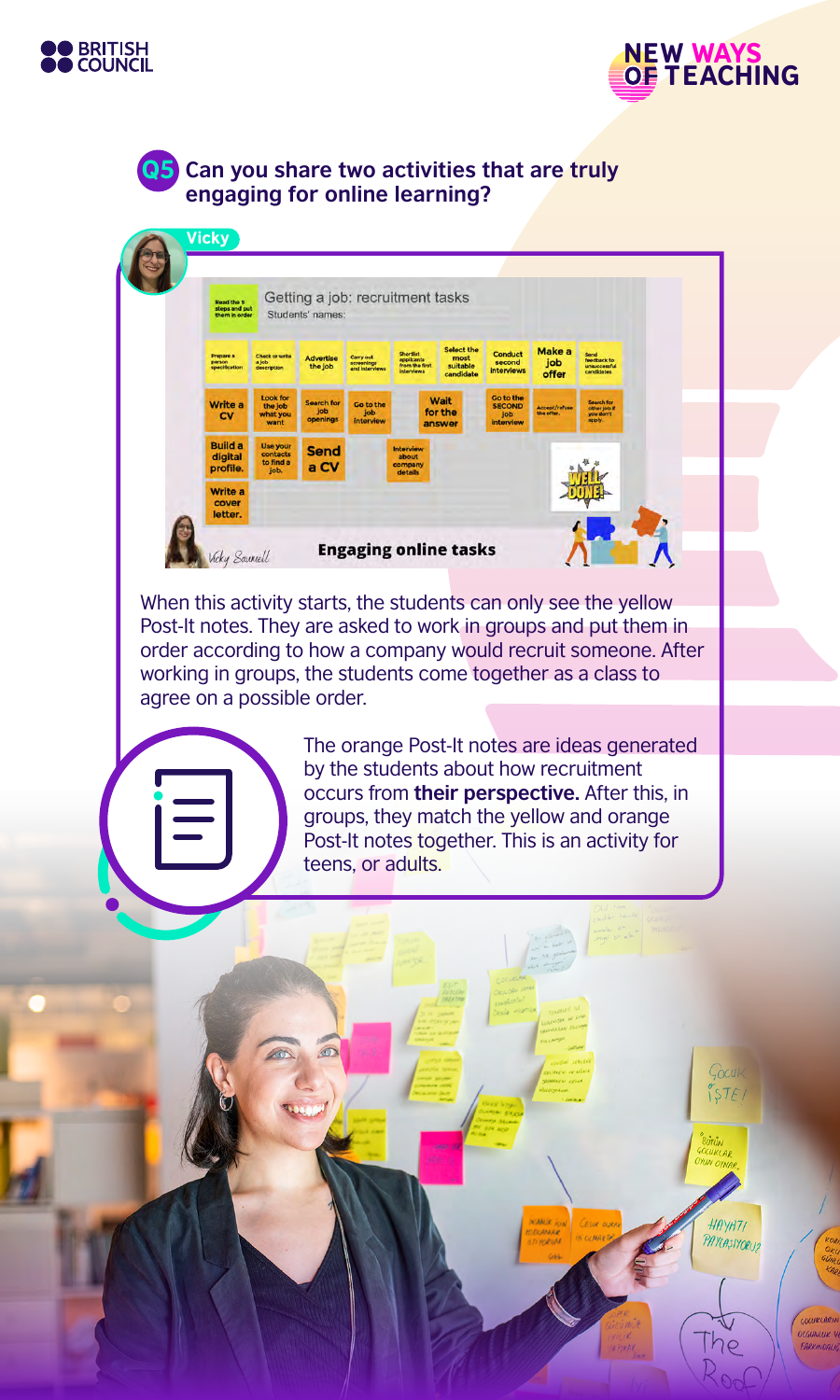



Gocuk  $57E/$ 

HAYATI PAYLASIYORUZ

he

GOCURLARIA

# Q5 **Can you share two activities that are truly engaging for online learning?**



When this activity starts, the students can only see the yellow Post-It notes. They are asked to work in groups and put them in order according to how a company would recruit someone. After working in groups, the students come together as a class to agree on a possible order.

 $\circledcirc$ 

 $\sqrt{2}$ 

The orange Post-It notes are ideas generated by the students about how recruitment occurs from **their perspective.** After this, in groups, they match the yellow and orange Post-It notes together. This is an activity for teens, or adults.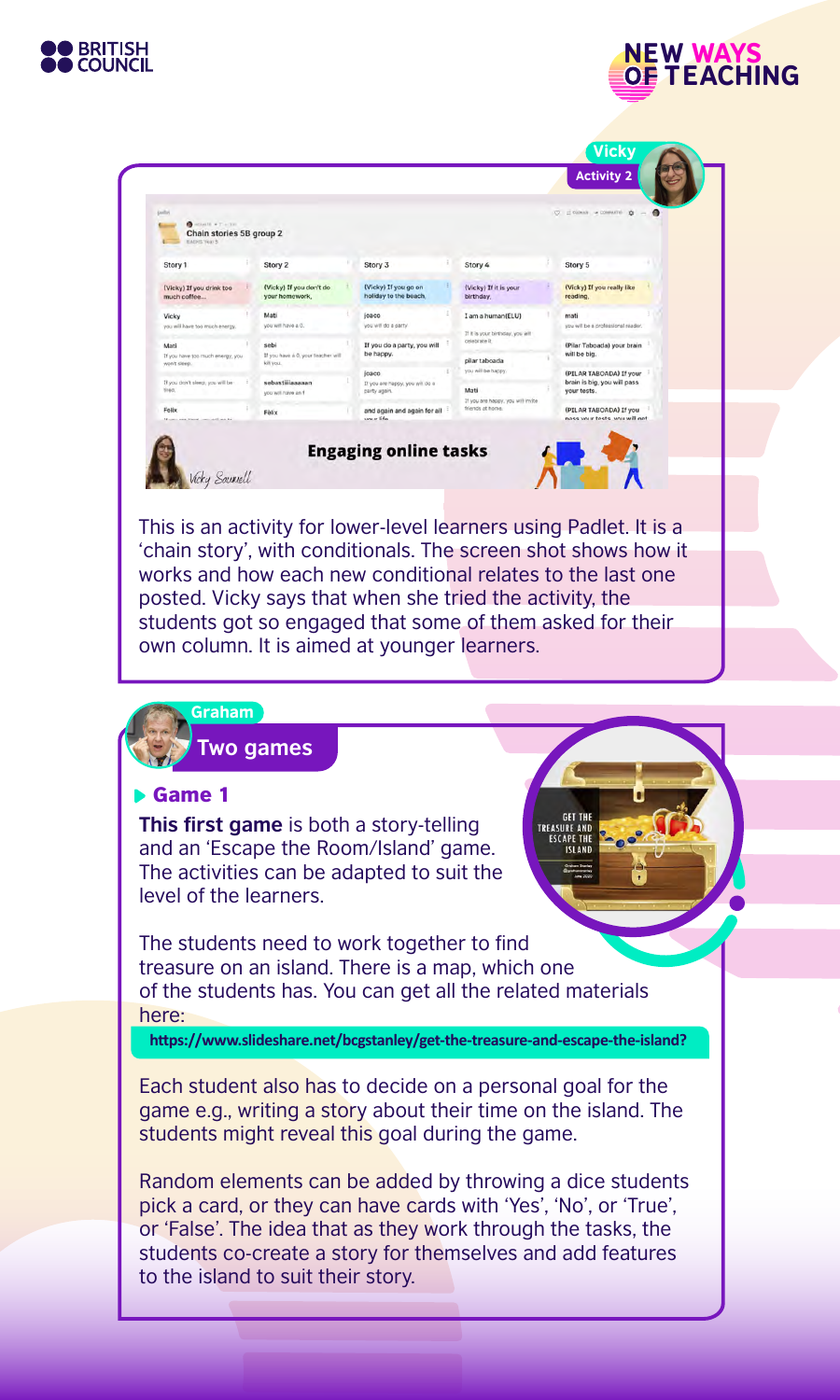



NEW WAYS

**OF TEACHING** 

'chain story', with conditionals. The screen shot shows how it works and how each new conditional relates to the last one posted. Vicky says that when she tried the activity, the students got so engaged that some of them asked for their own column. It is aimed at younger learners.

#### Graham

**Two games**

#### Game 1

**This first game** is both a story-telling and an 'Escape the Room/Island' game. The activities can be adapted to suit the level of the learners.

The students need to work together to find treasure on an island. There is a map, which one of the students has. You can get all the related materials here:

 **https://www.slideshare.net/bcgstanley/get-the-treasure-and-escape-the-island?**

**GET THE TREASURE AND** 

Each student also has to decide on a personal goal for the game e.g., writing a story about their time on the island. The students might reveal this goal during the game.

Random elements can be added by throwing a dice students pick a card, or they can have cards with 'Yes', 'No', or 'True', or 'False'. The idea that as they work through the tasks, the students co-create a story for themselves and add features to the island to suit their story.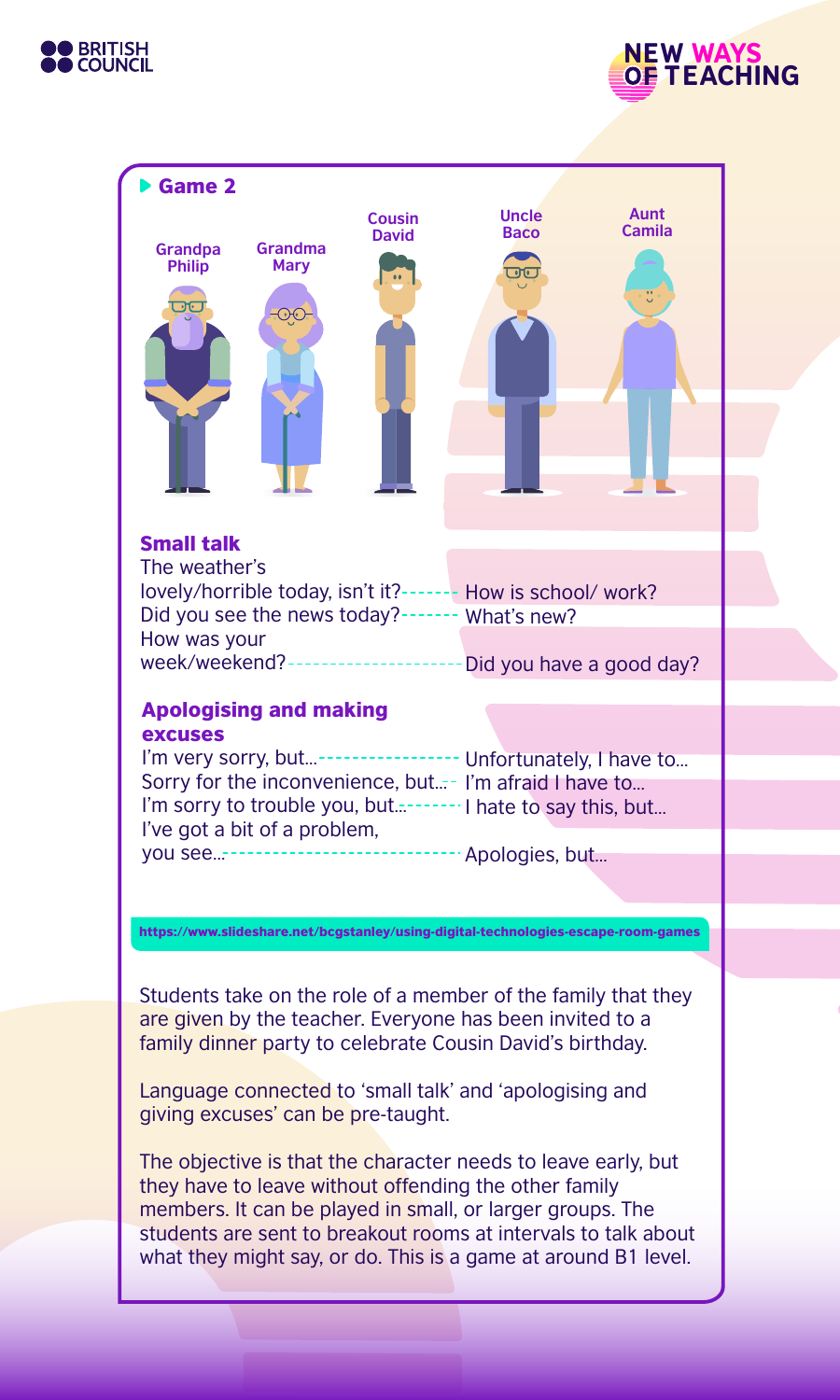





Students take on the role of a member of the family that they are given by the teacher. Everyone has been invited to a family dinner party to celebrate Cousin David's birthday.

Language connected to 'small talk' and 'apologising and giving excuses' can be pre-taught.

The objective is that the character needs to leave early, but they have to leave without offending the other family members. It can be played in small, or larger groups. The students are sent to breakout rooms at intervals to talk about what they might say, or do. This is a game at around B1 level.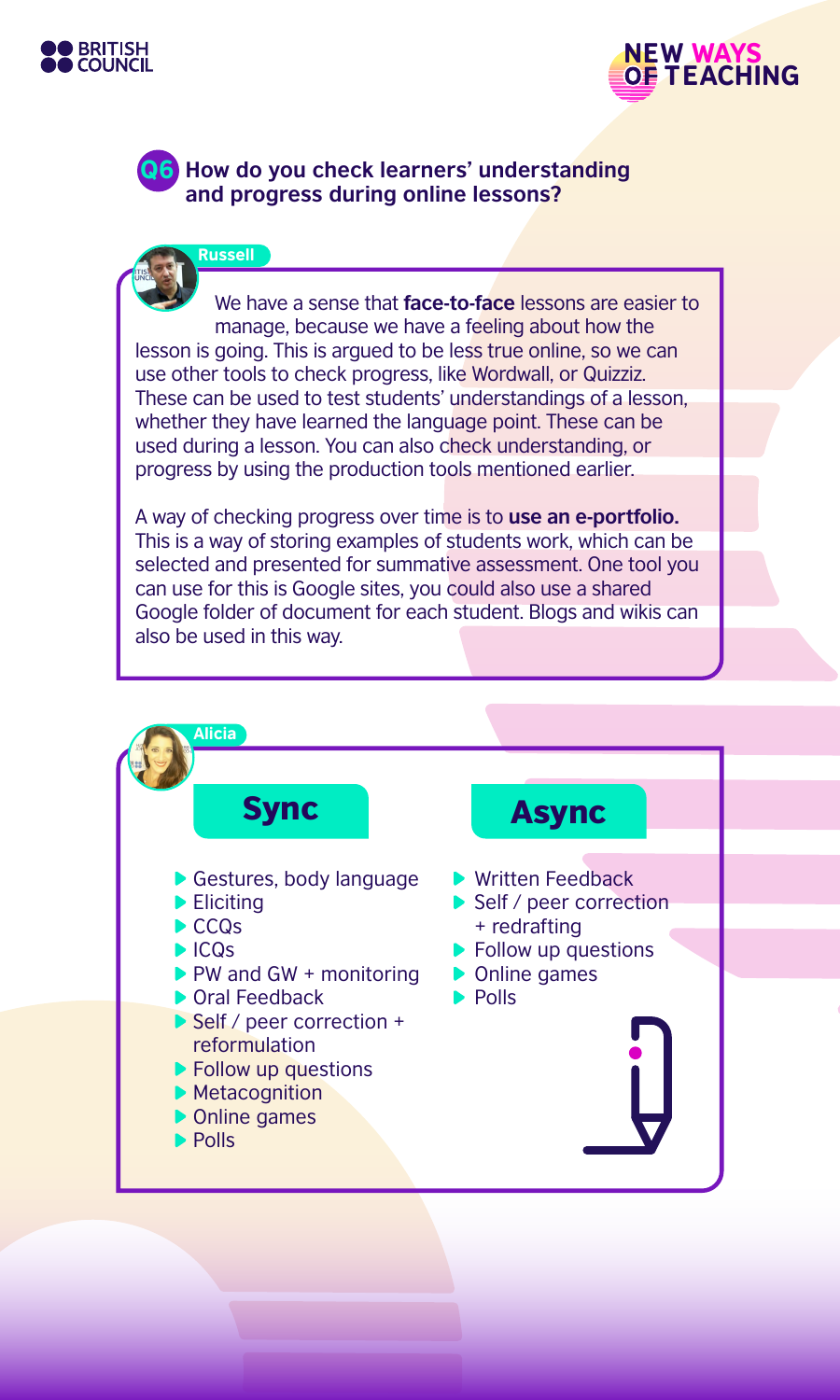

Russell



Q6 **How do you check learners' understanding and progress during online lessons?**

We have a sense that **face-to-face** lessons are easier to manage, because we have a feeling about how the lesson is going. This is argued to be less true online, so we can use other tools to check progress, like Wordwall, or Quizziz. These can be used to test students' understandings of a lesson, whether they have learned the language point. These can be used during a lesson. You can also check understanding, or progress by using the production tools mentioned earlier.

A way of checking progress over time is to **use an e-portfolio.** This is a way of storing examples of students work, which can be selected and presented for summative assessment. One tool you can use for this is Google sites, you could also use a shared Google folder of document for each student. Blogs and wikis can also be used in this way.

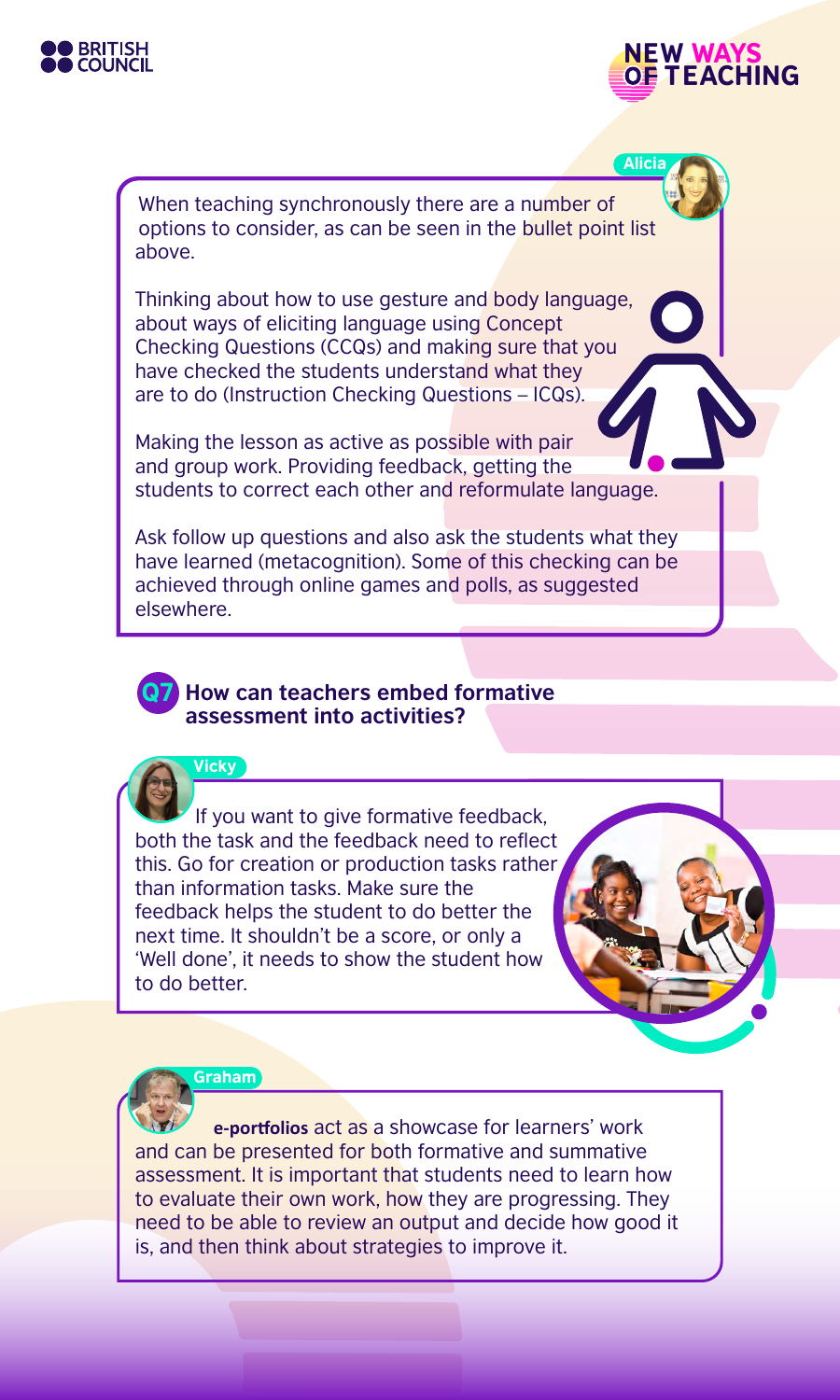



Alicia

When teaching synchronously there are a number of options to consider, as can be seen in the bullet point list above.

Thinking about how to use gesture and body language, about ways of eliciting language using Concept Checking Questions (CCQs) and making sure that you have checked the students understand what they are to do (Instruction Checking Questions – ICQs).

Making the lesson as active as possible with pair and group work. Providing feedback, getting the students to correct each other and reformulate language.

Ask follow up questions and also ask the students what they have learned (metacognition). Some of this checking can be achieved through online games and polls, as suggested elsewhere.

## Q7 **How can teachers embed formative assessment into activities?**

**Vicky** 

If you want to give formative feedback, both the task and the feedback need to reflect this. Go for creation or production tasks rather than information tasks. Make sure the feedback helps the student to do better the next time. It shouldn't be a score, or only a 'Well done', it needs to show the student how to do better.



#### Graham

**e-portfolios** act as a showcase for learners' work and can be presented for both formative and summative assessment. It is important that students need to learn how to evaluate their own work, how they are progressing. They need to be able to review an output and decide how good it is, and then think about strategies to improve it.